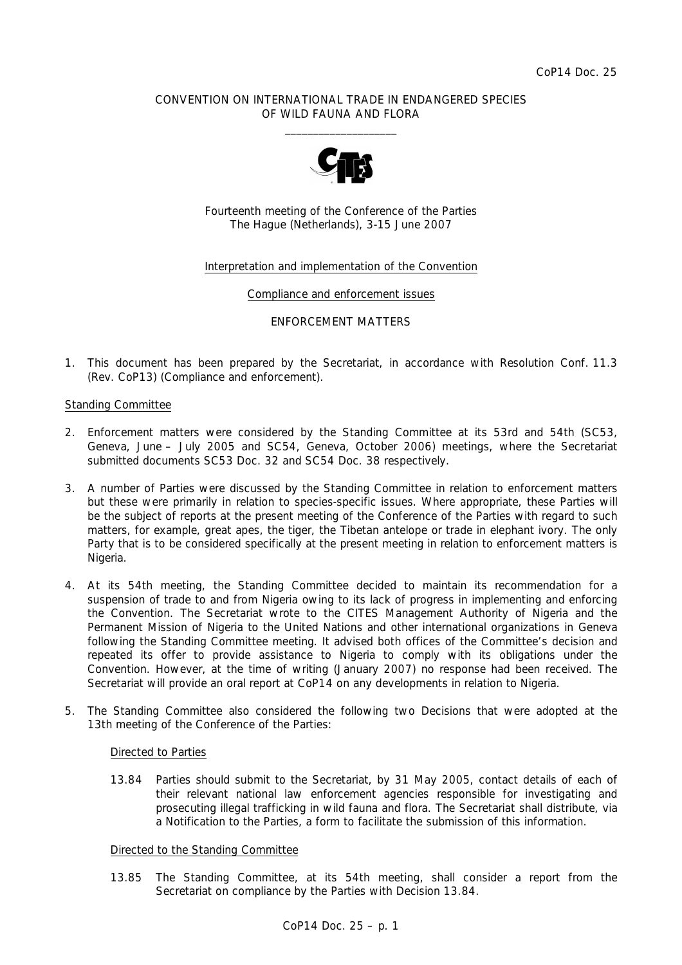## CONVENTION ON INTERNATIONAL TRADE IN ENDANGERED SPECIES OF WILD FAUNA AND FLORA  $\overline{\phantom{a}}$  , and the set of the set of the set of the set of the set of the set of the set of the set of the set of the set of the set of the set of the set of the set of the set of the set of the set of the set of the s



Fourteenth meeting of the Conference of the Parties The Hague (Netherlands), 3-15 June 2007

## Interpretation and implementation of the Convention

#### Compliance and enforcement issues

#### ENFORCEMENT MATTERS

1. This document has been prepared by the Secretariat, in accordance with Resolution Conf. 11.3 (Rev. CoP13) (Compliance and enforcement).

#### Standing Committee

- 2. Enforcement matters were considered by the Standing Committee at its 53rd and 54th (SC53, Geneva, June – July 2005 and SC54, Geneva, October 2006) meetings, where the Secretariat submitted documents SC53 Doc. 32 and SC54 Doc. 38 respectively.
- 3. A number of Parties were discussed by the Standing Committee in relation to enforcement matters but these were primarily in relation to species-specific issues. Where appropriate, these Parties will be the subject of reports at the present meeting of the Conference of the Parties with regard to such matters, for example, great apes, the tiger, the Tibetan antelope or trade in elephant ivory. The only Party that is to be considered specifically at the present meeting in relation to enforcement matters is Nigeria.
- 4. At its 54th meeting, the Standing Committee decided to maintain its recommendation for a suspension of trade to and from Nigeria owing to its lack of progress in implementing and enforcing the Convention. The Secretariat wrote to the CITES Management Authority of Nigeria and the Permanent Mission of Nigeria to the United Nations and other international organizations in Geneva following the Standing Committee meeting. It advised both offices of the Committee's decision and repeated its offer to provide assistance to Nigeria to comply with its obligations under the Convention. However, at the time of writing (January 2007) no response had been received. The Secretariat will provide an oral report at CoP14 on any developments in relation to Nigeria.
- 5. The Standing Committee also considered the following two Decisions that were adopted at the 13th meeting of the Conference of the Parties:

# *Directed to Parties*

 *13.84 Parties should submit to the Secretariat, by 31 May 2005, contact details of each of their relevant national law enforcement agencies responsible for investigating and prosecuting illegal trafficking in wild fauna and flora. The Secretariat shall distribute, via a Notification to the Parties, a form to facilitate the submission of this information.* 

# *Directed to the Standing Committee*

 *13.85 The Standing Committee, at its 54th meeting, shall consider a report from the Secretariat on compliance by the Parties with Decision 13.84.*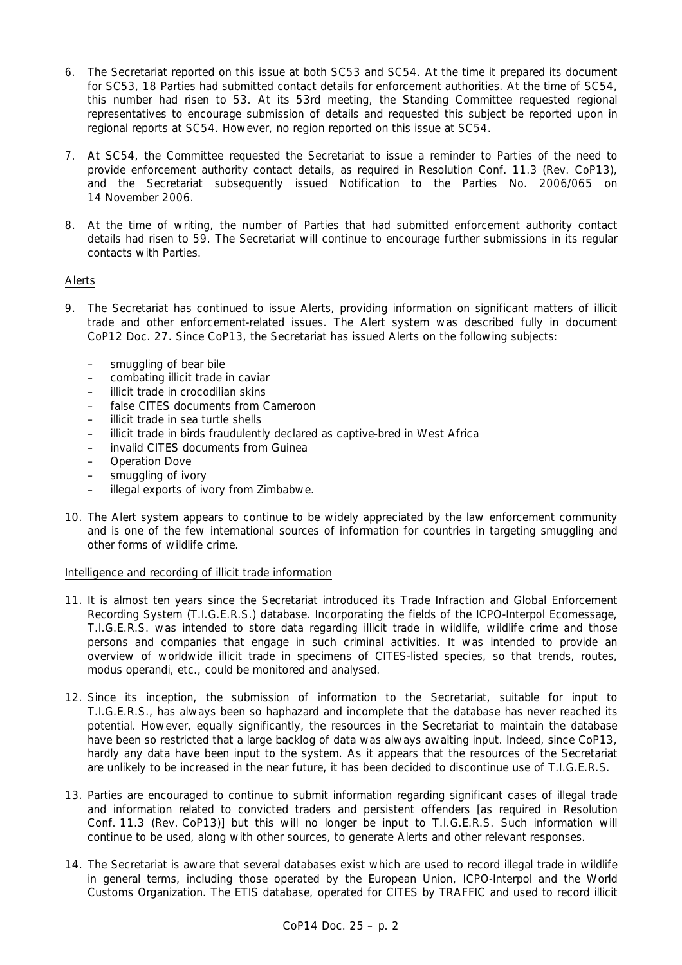- 6. The Secretariat reported on this issue at both SC53 and SC54. At the time it prepared its document for SC53, 18 Parties had submitted contact details for enforcement authorities. At the time of SC54, this number had risen to 53. At its 53rd meeting, the Standing Committee requested regional representatives to encourage submission of details and requested this subject be reported upon in regional reports at SC54. However, no region reported on this issue at SC54.
- 7. At SC54, the Committee requested the Secretariat to issue a reminder to Parties of the need to provide enforcement authority contact details, as required in Resolution Conf. 11.3 (Rev. CoP13), and the Secretariat subsequently issued Notification to the Parties No. 2006/065 on 14 November 2006.
- 8. At the time of writing, the number of Parties that had submitted enforcement authority contact details had risen to 59. The Secretariat will continue to encourage further submissions in its regular contacts with Parties.

# Alerts

- 9. The Secretariat has continued to issue Alerts, providing information on significant matters of illicit trade and other enforcement-related issues. The Alert system was described fully in document CoP12 Doc. 27. Since CoP13, the Secretariat has issued Alerts on the following subjects:
	- smuggling of bear bile
	- combating illicit trade in caviar
	- illicit trade in crocodilian skins
	- false CITES documents from Cameroon
	- illicit trade in sea turtle shells
	- illicit trade in birds fraudulently declared as captive-bred in West Africa
	- invalid CITES documents from Guinea
	- Operation Dove
	- smuggling of ivory
	- illegal exports of ivory from Zimbabwe.
- 10. The Alert system appears to continue to be widely appreciated by the law enforcement community and is one of the few international sources of information for countries in targeting smuggling and other forms of wildlife crime.

# Intelligence and recording of illicit trade information

- 11. It is almost ten years since the Secretariat introduced its Trade Infraction and Global Enforcement Recording System (T.I.G.E.R.S.) database. Incorporating the fields of the ICPO-Interpol Ecomessage, T.I.G.E.R.S. was intended to store data regarding illicit trade in wildlife, wildlife crime and those persons and companies that engage in such criminal activities. It was intended to provide an overview of worldwide illicit trade in specimens of CITES-listed species, so that trends, routes, *modus operandi*, etc., could be monitored and analysed.
- 12. Since its inception, the submission of information to the Secretariat, suitable for input to T.I.G.E.R.S., has always been so haphazard and incomplete that the database has never reached its potential. However, equally significantly, the resources in the Secretariat to maintain the database have been so restricted that a large backlog of data was always awaiting input. Indeed, since CoP13, hardly any data have been input to the system. As it appears that the resources of the Secretariat are unlikely to be increased in the near future, it has been decided to discontinue use of T.I.G.E.R.S.
- 13. Parties are encouraged to continue to submit information regarding significant cases of illegal trade and information related to convicted traders and persistent offenders [as required in Resolution Conf. 11.3 (Rev. CoP13)] but this will no longer be input to T.I.G.E.R.S. Such information will continue to be used, along with other sources, to generate Alerts and other relevant responses.
- 14. The Secretariat is aware that several databases exist which are used to record illegal trade in wildlife in general terms, including those operated by the European Union, ICPO-Interpol and the World Customs Organization. The ETIS database, operated for CITES by TRAFFIC and used to record illicit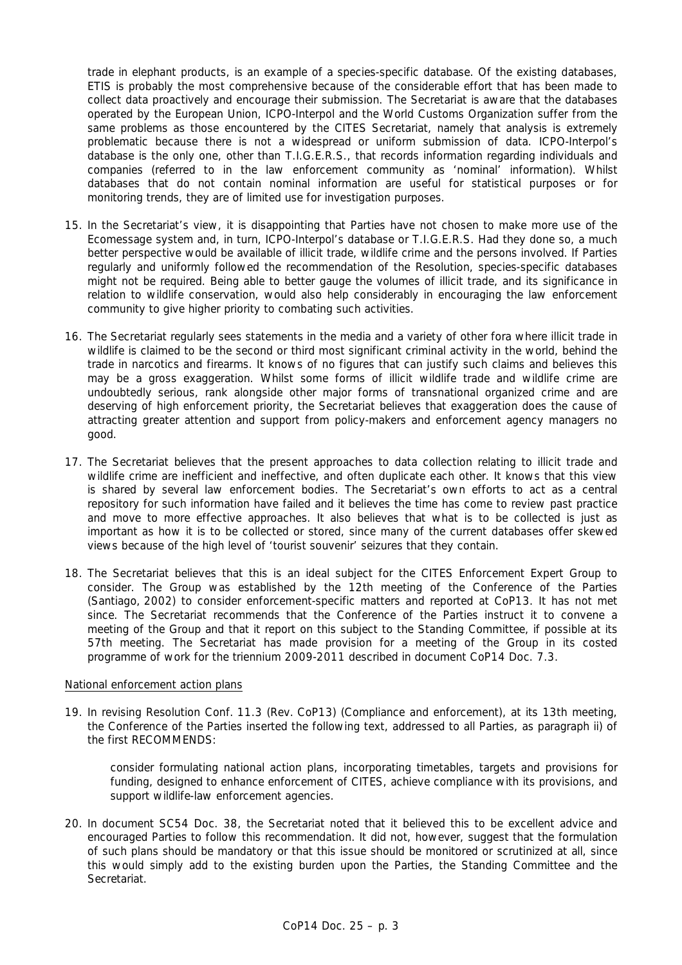trade in elephant products, is an example of a species-specific database. Of the existing databases, ETIS is probably the most comprehensive because of the considerable effort that has been made to collect data proactively and encourage their submission. The Secretariat is aware that the databases operated by the European Union, ICPO-Interpol and the World Customs Organization suffer from the same problems as those encountered by the CITES Secretariat, namely that analysis is extremely problematic because there is not a widespread or uniform submission of data. ICPO-Interpol's database is the only one, other than T.I.G.E.R.S., that records information regarding individuals and companies (referred to in the law enforcement community as 'nominal' information). Whilst databases that do not contain nominal information are useful for statistical purposes or for monitoring trends, they are of limited use for investigation purposes.

- 15. In the Secretariat's view, it is disappointing that Parties have not chosen to make more use of the Ecomessage system and, in turn, ICPO-Interpol's database or T.I.G.E.R.S. Had they done so, a much better perspective would be available of illicit trade, wildlife crime and the persons involved. If Parties regularly and uniformly followed the recommendation of the Resolution, species-specific databases might not be required. Being able to better gauge the volumes of illicit trade, and its significance in relation to wildlife conservation, would also help considerably in encouraging the law enforcement community to give higher priority to combating such activities.
- 16. The Secretariat regularly sees statements in the media and a variety of other fora where illicit trade in wildlife is claimed to be the second or third most significant criminal activity in the world, behind the trade in narcotics and firearms. It knows of no figures that can justify such claims and believes this may be a gross exaggeration. Whilst some forms of illicit wildlife trade and wildlife crime are undoubtedly serious, rank alongside other major forms of transnational organized crime and are deserving of high enforcement priority, the Secretariat believes that exaggeration does the cause of attracting greater attention and support from policy-makers and enforcement agency managers no good.
- 17. The Secretariat believes that the present approaches to data collection relating to illicit trade and wildlife crime are inefficient and ineffective, and often duplicate each other. It knows that this view is shared by several law enforcement bodies. The Secretariat's own efforts to act as a central repository for such information have failed and it believes the time has come to review past practice and move to more effective approaches. It also believes that what is to be collected is just as important as how it is to be collected or stored, since many of the current databases offer skewed views because of the high level of 'tourist souvenir' seizures that they contain.
- 18. The Secretariat believes that this is an ideal subject for the CITES Enforcement Expert Group to consider. The Group was established by the 12th meeting of the Conference of the Parties (Santiago, 2002) to consider enforcement-specific matters and reported at CoP13. It has not met since. The Secretariat recommends that the Conference of the Parties instruct it to convene a meeting of the Group and that it report on this subject to the Standing Committee, if possible at its 57th meeting. The Secretariat has made provision for a meeting of the Group in its costed programme of work for the triennium 2009-2011 described in document CoP14 Doc. 7.3.

#### National enforcement action plans

19. In revising Resolution Conf. 11.3 (Rev. CoP13) (Compliance and enforcement), at its 13th meeting, the Conference of the Parties inserted the following text, addressed to all Parties, as paragraph ii) of the first RECOMMENDS:

 *consider formulating national action plans, incorporating timetables, targets and provisions for funding, designed to enhance enforcement of CITES, achieve compliance with its provisions, and support wildlife-law enforcement agencies.* 

20. In document SC54 Doc. 38, the Secretariat noted that it believed this to be excellent advice and encouraged Parties to follow this recommendation. It did not, however, suggest that the formulation of such plans should be mandatory or that this issue should be monitored or scrutinized at all, since this would simply add to the existing burden upon the Parties, the Standing Committee and the Secretariat.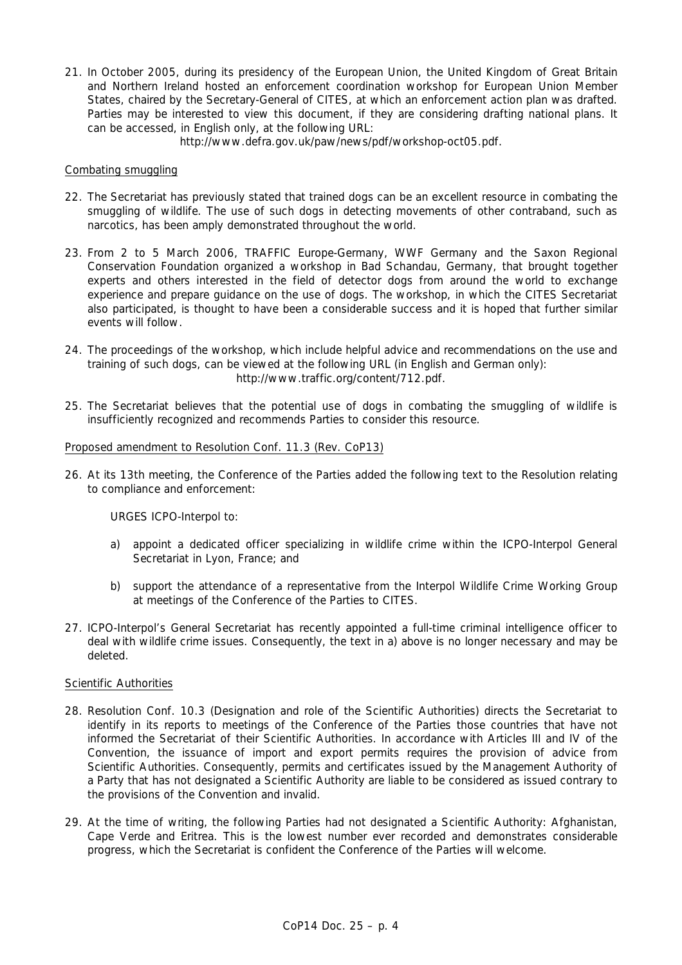21. In October 2005, during its presidency of the European Union, the United Kingdom of Great Britain and Northern Ireland hosted an enforcement coordination workshop for European Union Member States, chaired by the Secretary-General of CITES, at which an enforcement action plan was drafted. Parties may be interested to view this document, if they are considering drafting national plans. It can be accessed, in English only, at the following URL:

http://www.defra.gov.uk/paw/news/pdf/workshop-oct05.pdf.

## Combating smuggling

- 22. The Secretariat has previously stated that trained dogs can be an excellent resource in combating the smuggling of wildlife. The use of such dogs in detecting movements of other contraband, such as narcotics, has been amply demonstrated throughout the world.
- 23. From 2 to 5 March 2006, TRAFFIC Europe-Germany, WWF Germany and the Saxon Regional Conservation Foundation organized a workshop in Bad Schandau, Germany, that brought together experts and others interested in the field of detector dogs from around the world to exchange experience and prepare guidance on the use of dogs. The workshop, in which the CITES Secretariat also participated, is thought to have been a considerable success and it is hoped that further similar events will follow.
- 24. The proceedings of the workshop, which include helpful advice and recommendations on the use and training of such dogs, can be viewed at the following URL (in English and German only): http://www.traffic.org/content/712.pdf.
- 25. The Secretariat believes that the potential use of dogs in combating the smuggling of wildlife is insufficiently recognized and recommends Parties to consider this resource.

## Proposed amendment to Resolution Conf. 11.3 (Rev. CoP13)

26. At its 13th meeting, the Conference of the Parties added the following text to the Resolution relating to compliance and enforcement:

# *URGES ICPO-Interpol to:*

- *a) appoint a dedicated officer specializing in wildlife crime within the ICPO-Interpol General Secretariat in Lyon, France; and*
- *b) support the attendance of a representative from the Interpol Wildlife Crime Working Group at meetings of the Conference of the Parties to CITES.*
- 27. ICPO-Interpol's General Secretariat has recently appointed a full-time criminal intelligence officer to deal with wildlife crime issues. Consequently, the text in a) above is no longer necessary and may be deleted.

# Scientific Authorities

- 28. Resolution Conf. 10.3 (Designation and role of the Scientific Authorities) directs the Secretariat to identify in its reports to meetings of the Conference of the Parties those countries that have not informed the Secretariat of their Scientific Authorities. In accordance with Articles III and IV of the Convention, the issuance of import and export permits requires the provision of advice from Scientific Authorities. Consequently, permits and certificates issued by the Management Authority of a Party that has not designated a Scientific Authority are liable to be considered as issued contrary to the provisions of the Convention and invalid.
- 29. At the time of writing, the following Parties had not designated a Scientific Authority: Afghanistan, Cape Verde and Eritrea. This is the lowest number ever recorded and demonstrates considerable progress, which the Secretariat is confident the Conference of the Parties will welcome.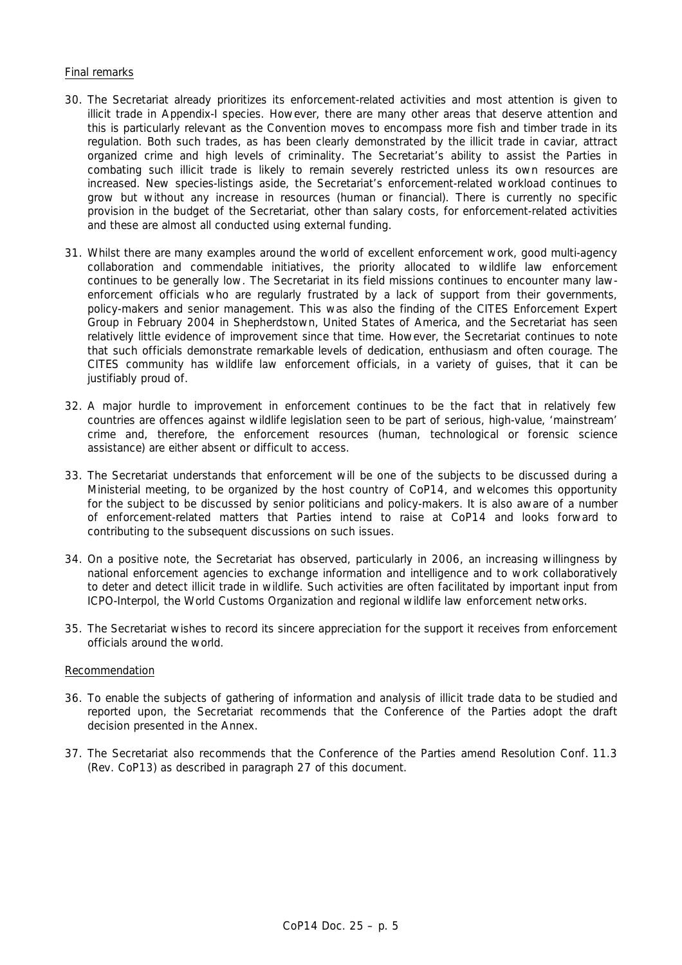# Final remarks

- 30. The Secretariat already prioritizes its enforcement-related activities and most attention is given to illicit trade in Appendix-I species. However, there are many other areas that deserve attention and this is particularly relevant as the Convention moves to encompass more fish and timber trade in its regulation. Both such trades, as has been clearly demonstrated by the illicit trade in caviar, attract organized crime and high levels of criminality. The Secretariat's ability to assist the Parties in combating such illicit trade is likely to remain severely restricted unless its own resources are increased. New species-listings aside, the Secretariat's enforcement-related workload continues to grow but without any increase in resources (human or financial). There is currently no specific provision in the budget of the Secretariat, other than salary costs, for enforcement-related activities and these are almost all conducted using external funding.
- 31. Whilst there are many examples around the world of excellent enforcement work, good multi-agency collaboration and commendable initiatives, the priority allocated to wildlife law enforcement continues to be generally low. The Secretariat in its field missions continues to encounter many lawenforcement officials who are regularly frustrated by a lack of support from their governments, policy-makers and senior management. This was also the finding of the CITES Enforcement Expert Group in February 2004 in Shepherdstown, United States of America, and the Secretariat has seen relatively little evidence of improvement since that time. However, the Secretariat continues to note that such officials demonstrate remarkable levels of dedication, enthusiasm and often courage. The CITES community has wildlife law enforcement officials, in a variety of guises, that it can be justifiably proud of.
- 32. A major hurdle to improvement in enforcement continues to be the fact that in relatively few countries are offences against wildlife legislation seen to be part of serious, high-value, 'mainstream' crime and, therefore, the enforcement resources (human, technological or forensic science assistance) are either absent or difficult to access.
- 33. The Secretariat understands that enforcement will be one of the subjects to be discussed during a Ministerial meeting, to be organized by the host country of CoP14, and welcomes this opportunity for the subject to be discussed by senior politicians and policy-makers. It is also aware of a number of enforcement-related matters that Parties intend to raise at CoP14 and looks forward to contributing to the subsequent discussions on such issues.
- 34. On a positive note, the Secretariat has observed, particularly in 2006, an increasing willingness by national enforcement agencies to exchange information and intelligence and to work collaboratively to deter and detect illicit trade in wildlife. Such activities are often facilitated by important input from ICPO-Interpol, the World Customs Organization and regional wildlife law enforcement networks.
- 35. The Secretariat wishes to record its sincere appreciation for the support it receives from enforcement officials around the world.

## Recommendation

- 36. To enable the subjects of gathering of information and analysis of illicit trade data to be studied and reported upon, the Secretariat recommends that the Conference of the Parties adopt the draft decision presented in the Annex.
- 37. The Secretariat also recommends that the Conference of the Parties amend Resolution Conf. 11.3 (Rev. CoP13) as described in paragraph 27 of this document.